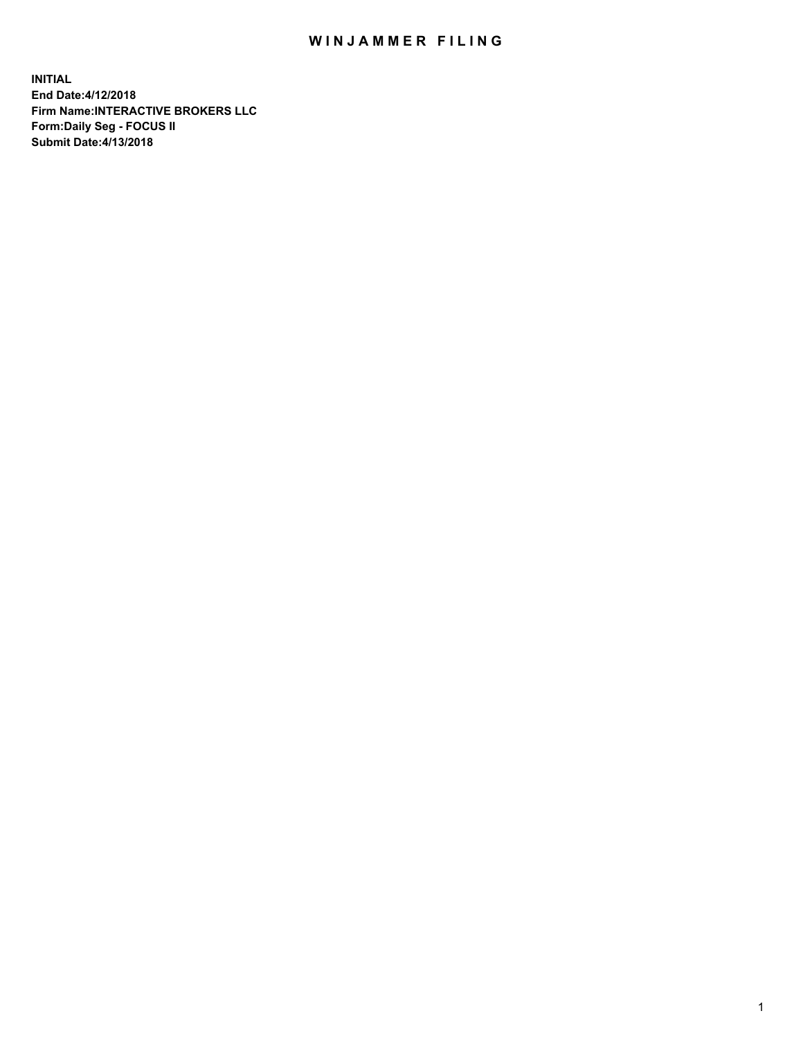## WIN JAMMER FILING

**INITIAL End Date:4/12/2018 Firm Name:INTERACTIVE BROKERS LLC Form:Daily Seg - FOCUS II Submit Date:4/13/2018**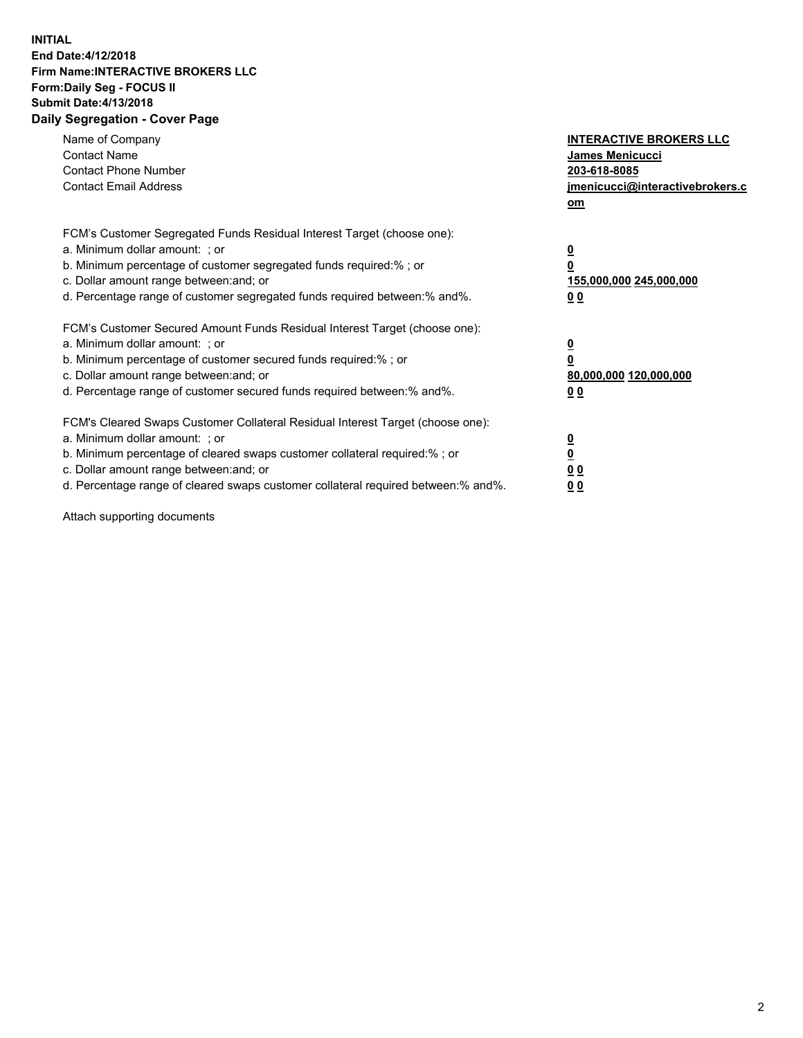## **INITIAL End Date:4/12/2018 Firm Name:INTERACTIVE BROKERS LLC Form:Daily Seg - FOCUS II Submit Date:4/13/2018 Daily Segregation - Cover Page**

| Name of Company<br><b>Contact Name</b><br><b>Contact Phone Number</b><br><b>Contact Email Address</b>                                                                                                                                                                                                                          | <b>INTERACTIVE BROKERS LLC</b><br><b>James Menicucci</b><br>203-618-8085<br>jmenicucci@interactivebrokers.c<br>om |
|--------------------------------------------------------------------------------------------------------------------------------------------------------------------------------------------------------------------------------------------------------------------------------------------------------------------------------|-------------------------------------------------------------------------------------------------------------------|
| FCM's Customer Segregated Funds Residual Interest Target (choose one):<br>a. Minimum dollar amount: ; or<br>b. Minimum percentage of customer segregated funds required:% ; or<br>c. Dollar amount range between: and; or<br>d. Percentage range of customer segregated funds required between: % and %.                       | $\overline{\mathbf{0}}$<br>0<br>155,000,000 245,000,000<br>00                                                     |
| FCM's Customer Secured Amount Funds Residual Interest Target (choose one):<br>a. Minimum dollar amount: ; or<br>b. Minimum percentage of customer secured funds required:%; or<br>c. Dollar amount range between: and; or<br>d. Percentage range of customer secured funds required between: % and %.                          | $\overline{\mathbf{0}}$<br>0<br>80,000,000 120,000,000<br>00                                                      |
| FCM's Cleared Swaps Customer Collateral Residual Interest Target (choose one):<br>a. Minimum dollar amount: ; or<br>b. Minimum percentage of cleared swaps customer collateral required:% ; or<br>c. Dollar amount range between: and; or<br>d. Percentage range of cleared swaps customer collateral required between:% and%. | $\overline{\mathbf{0}}$<br>$\overline{\mathbf{0}}$<br>00<br>0 <sub>0</sub>                                        |

Attach supporting documents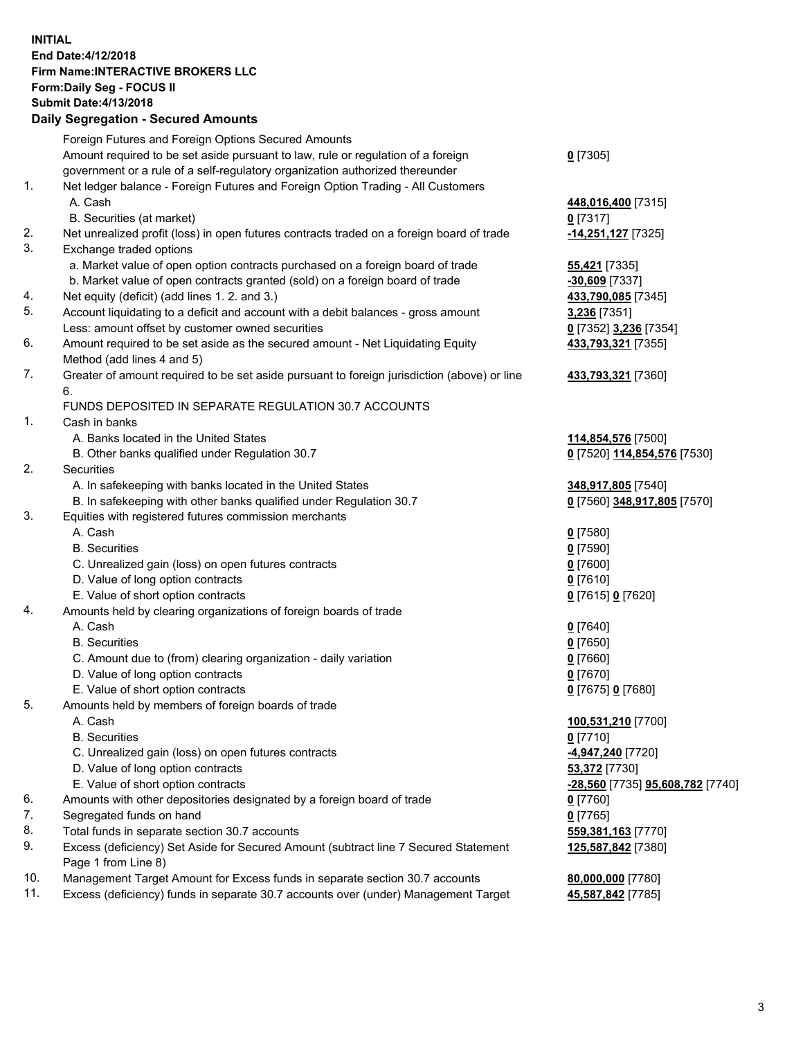## **INITIAL End Date:4/12/2018 Firm Name:INTERACTIVE BROKERS LLC Form:Daily Seg - FOCUS II Submit Date:4/13/2018 Daily Segregation - Secured Amounts**

|     | Daily Jegregation - Jeculed Aniounts                                                                       |                                  |
|-----|------------------------------------------------------------------------------------------------------------|----------------------------------|
|     | Foreign Futures and Foreign Options Secured Amounts                                                        |                                  |
|     | Amount required to be set aside pursuant to law, rule or regulation of a foreign                           | $0$ [7305]                       |
|     | government or a rule of a self-regulatory organization authorized thereunder                               |                                  |
| 1.  | Net ledger balance - Foreign Futures and Foreign Option Trading - All Customers                            |                                  |
|     | A. Cash                                                                                                    | 448,016,400 [7315]               |
|     | B. Securities (at market)                                                                                  | $0$ [7317]                       |
| 2.  | Net unrealized profit (loss) in open futures contracts traded on a foreign board of trade                  | -14,251,127 [7325]               |
| 3.  | Exchange traded options                                                                                    |                                  |
|     | a. Market value of open option contracts purchased on a foreign board of trade                             | <b>55,421</b> [7335]             |
|     | b. Market value of open contracts granted (sold) on a foreign board of trade                               | $-30,609$ [7337]                 |
| 4.  | Net equity (deficit) (add lines 1.2. and 3.)                                                               | 433,790,085 [7345]               |
| 5.  | Account liquidating to a deficit and account with a debit balances - gross amount                          | 3,236 [7351]                     |
|     | Less: amount offset by customer owned securities                                                           | 0 [7352] 3,236 [7354]            |
| 6.  | Amount required to be set aside as the secured amount - Net Liquidating Equity                             | 433,793,321 [7355]               |
|     | Method (add lines 4 and 5)                                                                                 |                                  |
| 7.  | Greater of amount required to be set aside pursuant to foreign jurisdiction (above) or line                | 433,793,321 [7360]               |
|     | 6.                                                                                                         |                                  |
|     | FUNDS DEPOSITED IN SEPARATE REGULATION 30.7 ACCOUNTS                                                       |                                  |
| 1.  | Cash in banks                                                                                              |                                  |
|     | A. Banks located in the United States                                                                      | 114,854,576 [7500]               |
|     | B. Other banks qualified under Regulation 30.7                                                             | 0 [7520] 114,854,576 [7530]      |
| 2.  | Securities                                                                                                 |                                  |
|     | A. In safekeeping with banks located in the United States                                                  | 348,917,805 [7540]               |
|     | B. In safekeeping with other banks qualified under Regulation 30.7                                         | 0 [7560] 348,917,805 [7570]      |
| 3.  | Equities with registered futures commission merchants                                                      |                                  |
|     | A. Cash                                                                                                    | $0$ [7580]                       |
|     | <b>B.</b> Securities                                                                                       | $0$ [7590]                       |
|     | C. Unrealized gain (loss) on open futures contracts                                                        | $0$ [7600]                       |
|     | D. Value of long option contracts                                                                          | $0$ [7610]                       |
|     | E. Value of short option contracts                                                                         | 0 [7615] 0 [7620]                |
| 4.  | Amounts held by clearing organizations of foreign boards of trade                                          |                                  |
|     | A. Cash                                                                                                    | $0$ [7640]                       |
|     | <b>B.</b> Securities                                                                                       | $0$ [7650]                       |
|     | C. Amount due to (from) clearing organization - daily variation                                            | $0$ [7660]                       |
|     | D. Value of long option contracts                                                                          | $0$ [7670]                       |
|     | E. Value of short option contracts                                                                         | 0 [7675] 0 [7680]                |
| 5.  | Amounts held by members of foreign boards of trade                                                         |                                  |
|     | A. Cash                                                                                                    | 100,531,210 [7700]               |
|     | <b>B.</b> Securities                                                                                       | $0$ [7710]                       |
|     | C. Unrealized gain (loss) on open futures contracts                                                        | -4,947,240 [7720]                |
|     | D. Value of long option contracts                                                                          | 53,372 [7730]                    |
|     | E. Value of short option contracts                                                                         | -28,560 [7735] 95,608,782 [7740] |
| 6.  | Amounts with other depositories designated by a foreign board of trade                                     | 0 [7760]                         |
| 7.  | Segregated funds on hand                                                                                   | $0$ [7765]                       |
| 8.  | Total funds in separate section 30.7 accounts                                                              | 559,381,163 [7770]               |
| 9.  | Excess (deficiency) Set Aside for Secured Amount (subtract line 7 Secured Statement<br>Page 1 from Line 8) | 125,587,842 [7380]               |
| 10. | Management Target Amount for Excess funds in separate section 30.7 accounts                                | 80,000,000 [7780]                |
| 11. | Excess (deficiency) funds in separate 30.7 accounts over (under) Management Target                         | 45,587,842 [7785]                |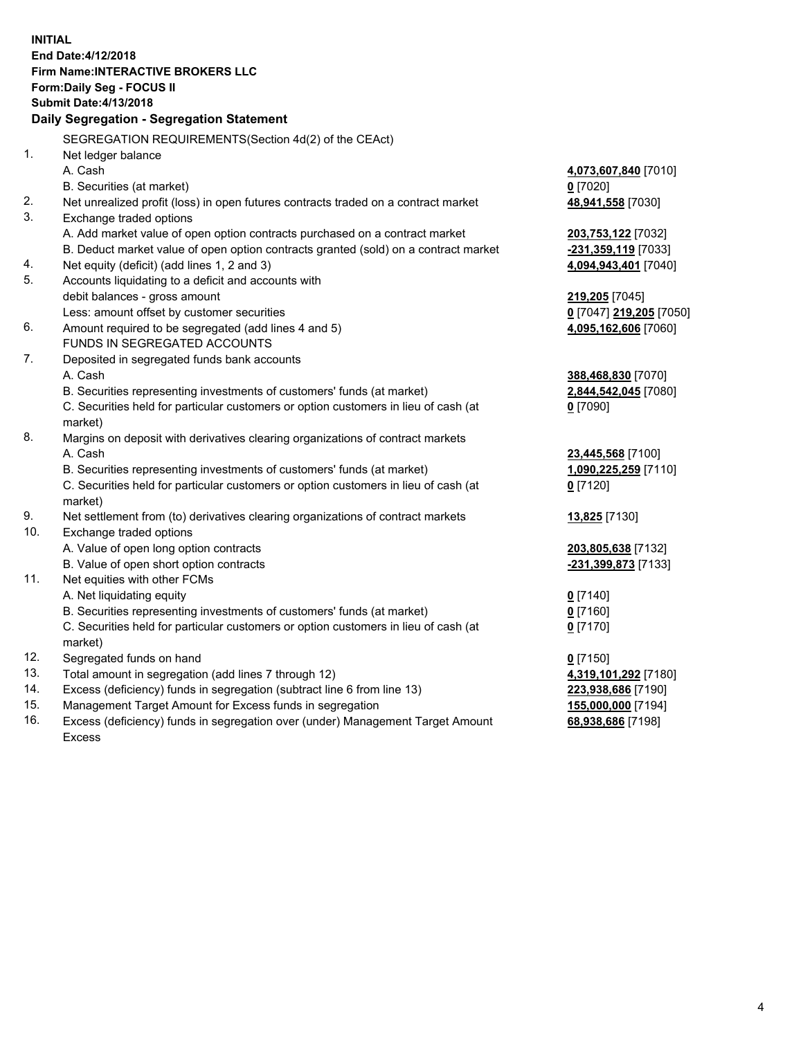**INITIAL End Date:4/12/2018 Firm Name:INTERACTIVE BROKERS LLC Form:Daily Seg - FOCUS II Submit Date:4/13/2018 Daily Segregation - Segregation Statement** SEGREGATION REQUIREMENTS(Section 4d(2) of the CEAct) 1. Net ledger balance A. Cash **4,073,607,840** [7010] B. Securities (at market) **0** [7020] 2. Net unrealized profit (loss) in open futures contracts traded on a contract market **48,941,558** [7030] 3. Exchange traded options A. Add market value of open option contracts purchased on a contract market **203,753,122** [7032] B. Deduct market value of open option contracts granted (sold) on a contract market **-231,359,119** [7033] 4. Net equity (deficit) (add lines 1, 2 and 3) **4,094,943,401** [7040] 5. Accounts liquidating to a deficit and accounts with debit balances - gross amount **219,205** [7045] Less: amount offset by customer securities **0** [7047] **219,205** [7050] 6. Amount required to be segregated (add lines 4 and 5) **4,095,162,606** [7060] FUNDS IN SEGREGATED ACCOUNTS 7. Deposited in segregated funds bank accounts A. Cash **388,468,830** [7070] B. Securities representing investments of customers' funds (at market) **2,844,542,045** [7080] C. Securities held for particular customers or option customers in lieu of cash (at market) **0** [7090] 8. Margins on deposit with derivatives clearing organizations of contract markets A. Cash **23,445,568** [7100] B. Securities representing investments of customers' funds (at market) **1,090,225,259** [7110] C. Securities held for particular customers or option customers in lieu of cash (at market) **0** [7120] 9. Net settlement from (to) derivatives clearing organizations of contract markets **13,825** [7130] 10. Exchange traded options A. Value of open long option contracts **203,805,638** [7132] B. Value of open short option contracts **-231,399,873** [7133] 11. Net equities with other FCMs A. Net liquidating equity **0** [7140] B. Securities representing investments of customers' funds (at market) **0** [7160] C. Securities held for particular customers or option customers in lieu of cash (at market) **0** [7170] 12. Segregated funds on hand **0** [7150] 13. Total amount in segregation (add lines 7 through 12) **4,319,101,292** [7180] 14. Excess (deficiency) funds in segregation (subtract line 6 from line 13) **223,938,686** [7190] 15. Management Target Amount for Excess funds in segregation **155,000,000** [7194] **68,938,686** [7198]

16. Excess (deficiency) funds in segregation over (under) Management Target Amount Excess